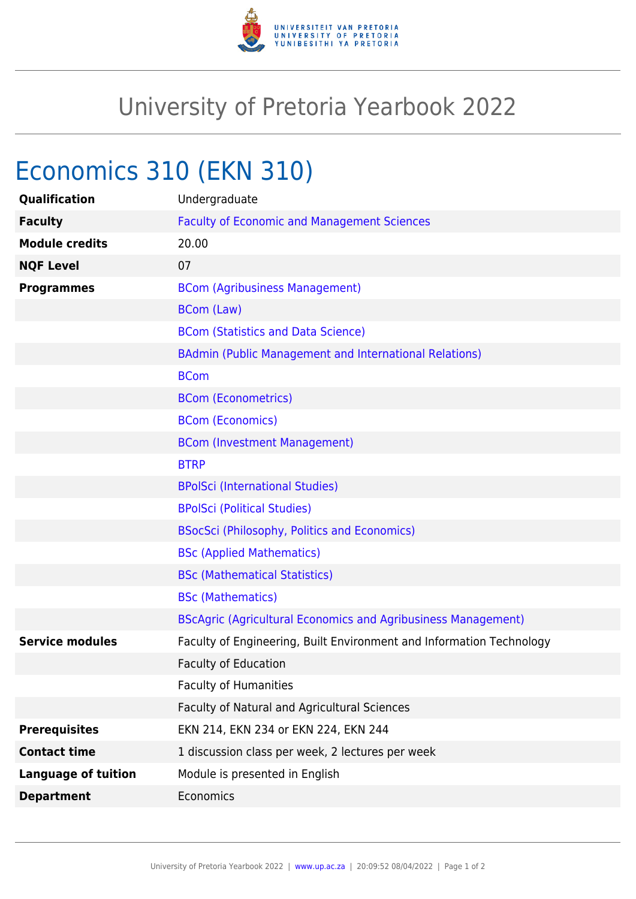

## University of Pretoria Yearbook 2022

# Economics 310 (EKN 310)

| Qualification              | Undergraduate                                                        |
|----------------------------|----------------------------------------------------------------------|
| <b>Faculty</b>             | <b>Faculty of Economic and Management Sciences</b>                   |
| <b>Module credits</b>      | 20.00                                                                |
| <b>NQF Level</b>           | 07                                                                   |
| <b>Programmes</b>          | <b>BCom (Agribusiness Management)</b>                                |
|                            | BCom (Law)                                                           |
|                            | <b>BCom (Statistics and Data Science)</b>                            |
|                            | <b>BAdmin (Public Management and International Relations)</b>        |
|                            | <b>BCom</b>                                                          |
|                            | <b>BCom (Econometrics)</b>                                           |
|                            | <b>BCom (Economics)</b>                                              |
|                            | <b>BCom (Investment Management)</b>                                  |
|                            | <b>BTRP</b>                                                          |
|                            | <b>BPolSci (International Studies)</b>                               |
|                            | <b>BPolSci (Political Studies)</b>                                   |
|                            | <b>BSocSci (Philosophy, Politics and Economics)</b>                  |
|                            | <b>BSc (Applied Mathematics)</b>                                     |
|                            | <b>BSc (Mathematical Statistics)</b>                                 |
|                            | <b>BSc (Mathematics)</b>                                             |
|                            | <b>BScAgric (Agricultural Economics and Agribusiness Management)</b> |
| <b>Service modules</b>     | Faculty of Engineering, Built Environment and Information Technology |
|                            | <b>Faculty of Education</b>                                          |
|                            | <b>Faculty of Humanities</b>                                         |
|                            | Faculty of Natural and Agricultural Sciences                         |
| <b>Prerequisites</b>       | EKN 214, EKN 234 or EKN 224, EKN 244                                 |
| <b>Contact time</b>        | 1 discussion class per week, 2 lectures per week                     |
| <b>Language of tuition</b> | Module is presented in English                                       |
| <b>Department</b>          | Economics                                                            |